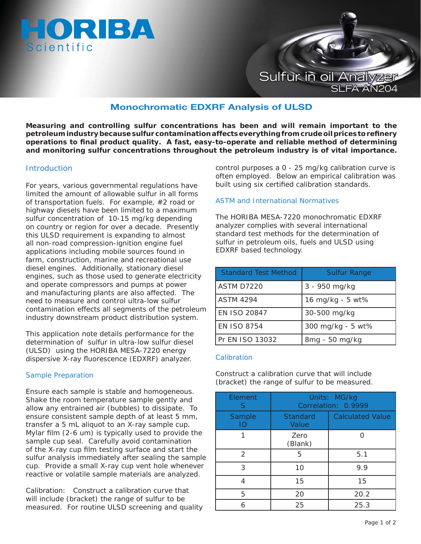



# **Monochromatic EDXRF Analysis of ULSD**

**Measuring and controlling sulfur concentrations has been and will remain important to the petroleum industry because sulfur contamination affects everything from crude oil prices to refi nery operations to fi nal product quality. A fast, easy-to-operate and reliable method of determining and monitoring sulfur concentrations throughout the petroleum industry is of vital importance.**

### **Introduction**

For years, various governmental regulations have limited the amount of allowable sulfur in all forms of transportation fuels. For example, #2 road or highway diesels have been limited to a maximum sulfur concentration of 10-15 mg/kg depending on country or region for over a decade. Presently this ULSD requirement is expanding to almost all non-road compression-ignition engine fuel applications including mobile sources found in farm, construction, marine and recreational use diesel engines. Additionally, stationary diesel engines, such as those used to generate electricity and operate compressors and pumps at power and manufacturing plants are also affected. The need to measure and control ultra-low sulfur contamination effects all segments of the petroleum industry downstream product distribution system.

This application note details performance for the determination of sulfur in ultra-low sulfur diesel (ULSD) using the HORIBA MESA-7220 energy dispersive X-ray fluorescence (EDXRF) analyzer.

#### Sample Preparation

Ensure each sample is stable and homogeneous. Shake the room temperature sample gently and allow any entrained air (bubbles) to dissipate. To ensure consistent sample depth of at least 5 mm, transfer a 5 mL aliquot to an X-ray sample cup. Mylar film  $(2-6 \text{ um})$  is typically used to provide the sample cup seal. Carefully avoid contamination of the X-ray cup film testing surface and start the sulfur analysis immediately after sealing the sample cup. Provide a small X-ray cup vent hole whenever reactive or volatile sample materials are analyzed.

Calibration: Construct a calibration curve that will include (bracket) the range of sulfur to be measured. For routine ULSD screening and quality control purposes a 0 - 25 mg/kg calibration curve is often employed. Below an empirical calibration was built using six certified calibration standards.

## ASTM and International Normatives

The HORIBA MESA-7220 monochromatic EDXRF analyzer complies with several international standard test methods for the determination of sulfur in petroleum oils, fuels and ULSD using EDXRF based technology.

| <b>Standard Test Method</b> | <b>Sulfur Range</b> |
|-----------------------------|---------------------|
| ASTM D7220                  | 3 - 950 mg/kg       |
| <b>ASTM 4294</b>            | 16 mg/kg - 5 wt%    |
| <b>EN ISO 20847</b>         | 30-500 mg/kg        |
| <b>FN ISO 8754</b>          | 300 mg/kg - 5 wt%   |
| Pr EN ISO 13032             | 8mg - 50 mg/kg      |

#### **Calibration**

Construct a calibration curve that will include (bracket) the range of sulfur to be measured.

| Element<br>S | Units: MG/kg<br>Correlation: 0.9999 |                         |
|--------------|-------------------------------------|-------------------------|
| Sample<br>ID | <b>Standard</b><br>Value            | <b>Calculated Value</b> |
|              | Zero<br>(Blank)                     |                         |
| 2            | 5                                   | 5.1                     |
| 3            | 10                                  | 9.9                     |
| 4            | 15                                  | 15                      |
| 5            | 20                                  | 20.2                    |
|              | 25                                  | 25.3                    |